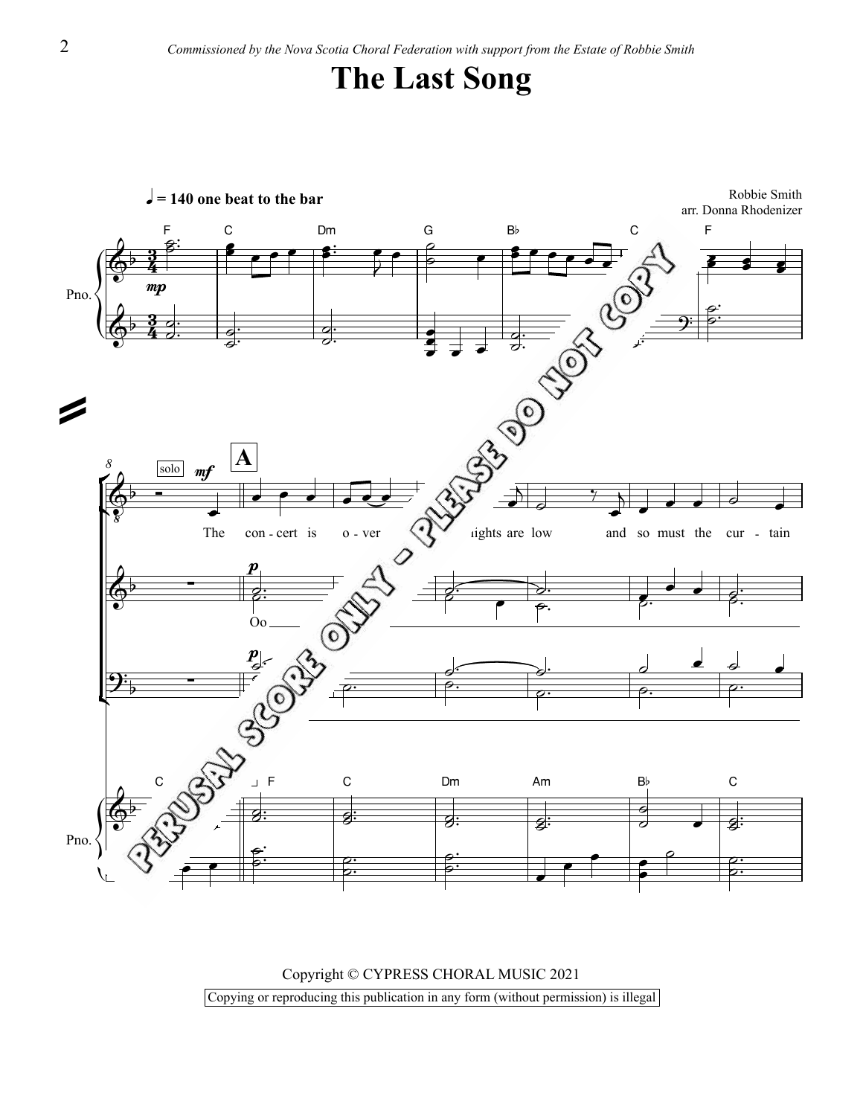## **The Last Song**



Copyright © CYPRESS CHORAL MUSIC 2021 Copying or reproducing this publication in any form (without permission) is illegal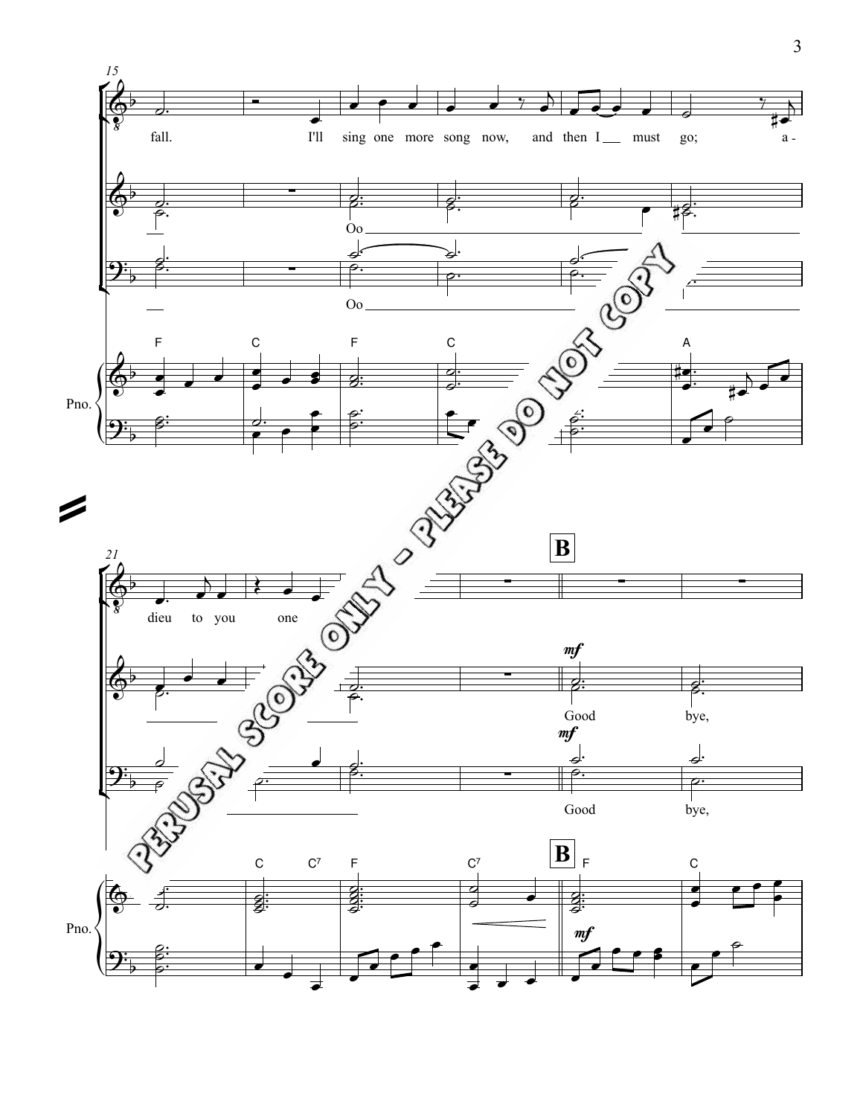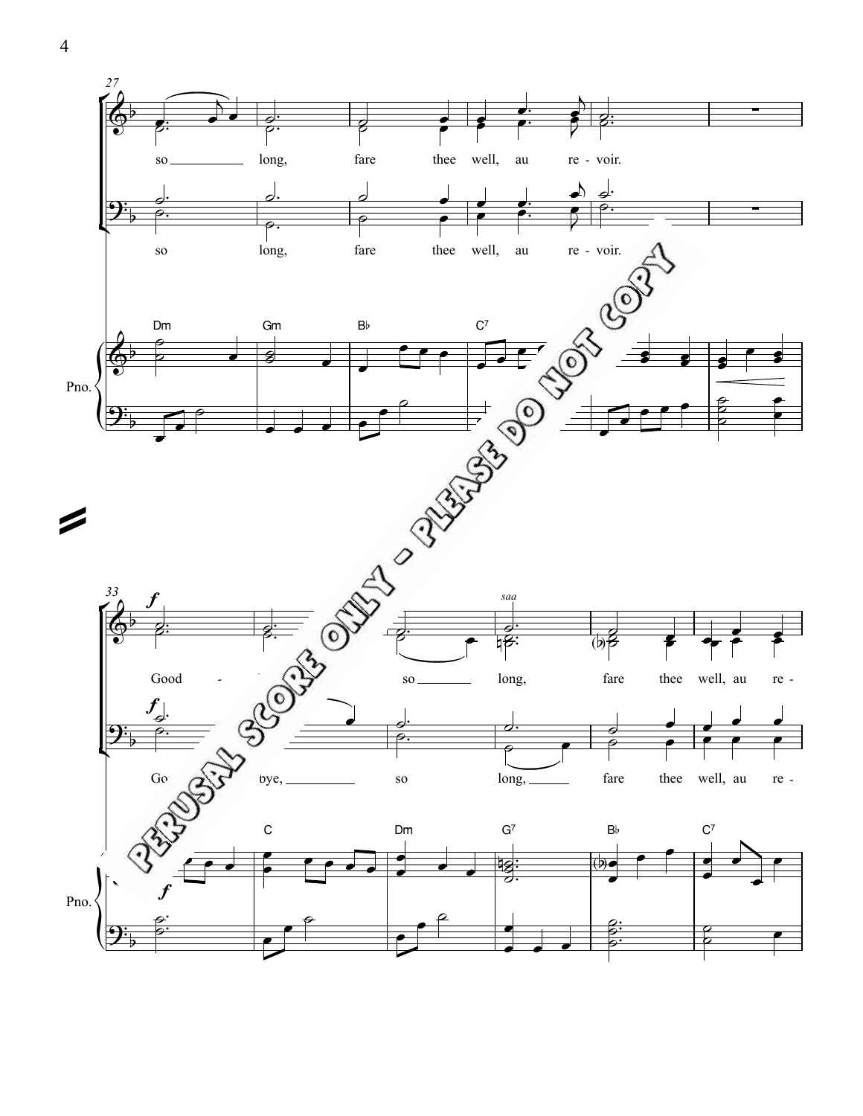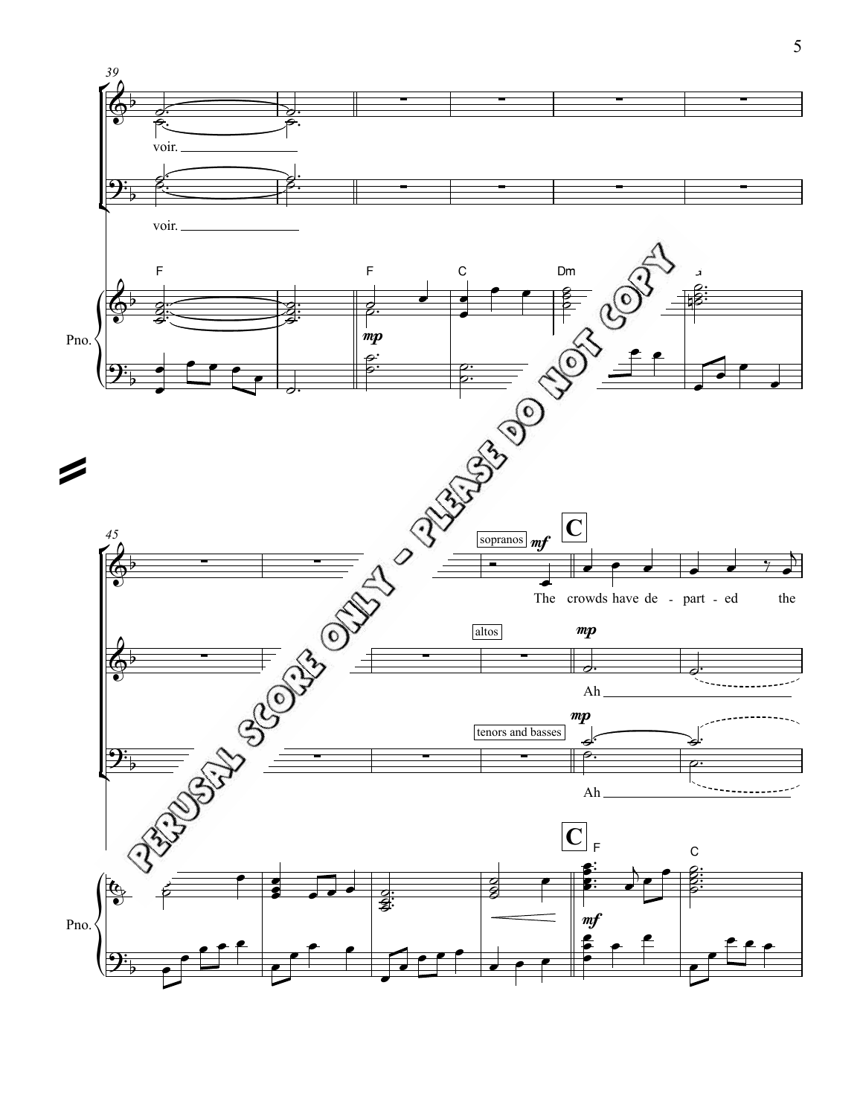

5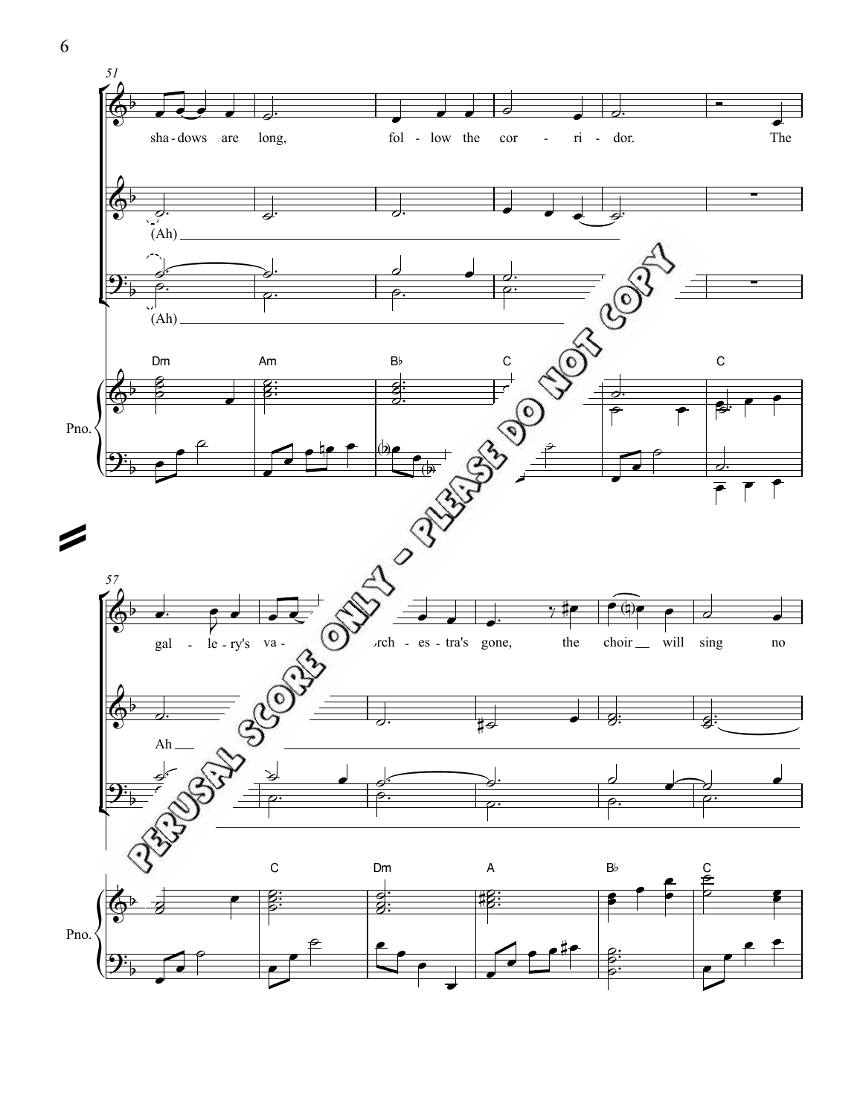



6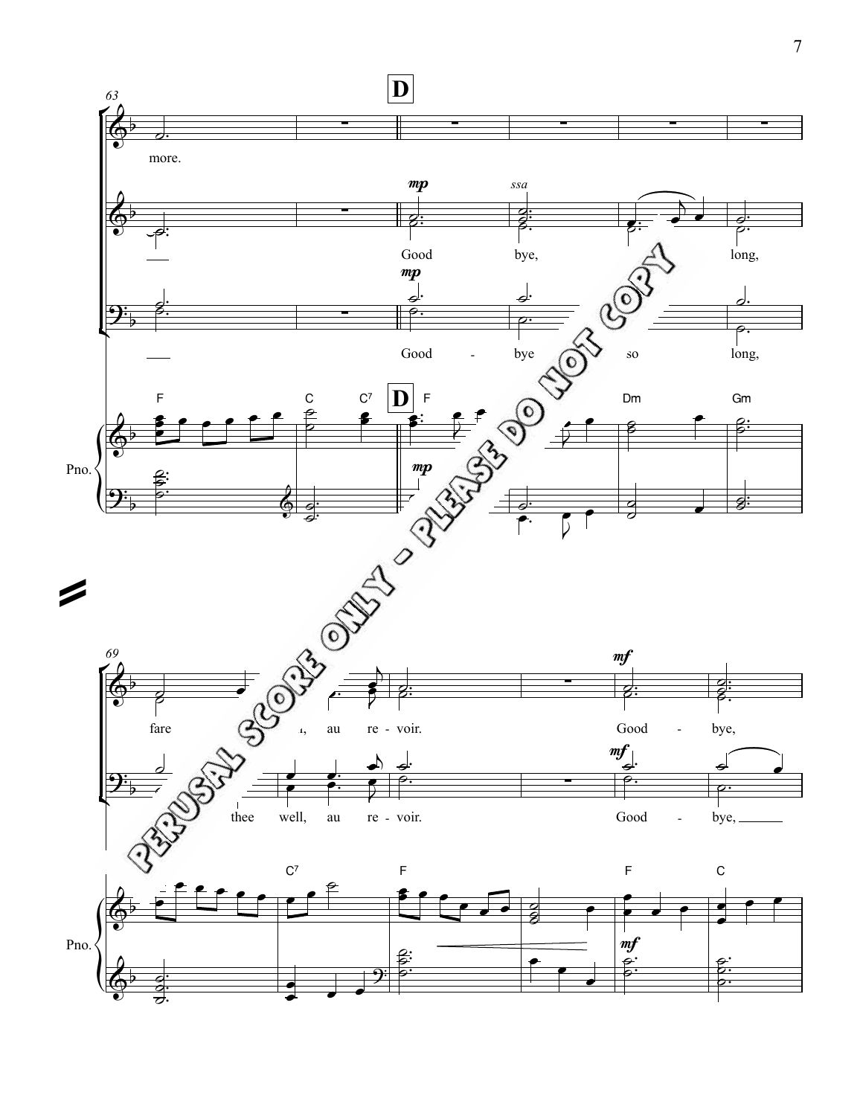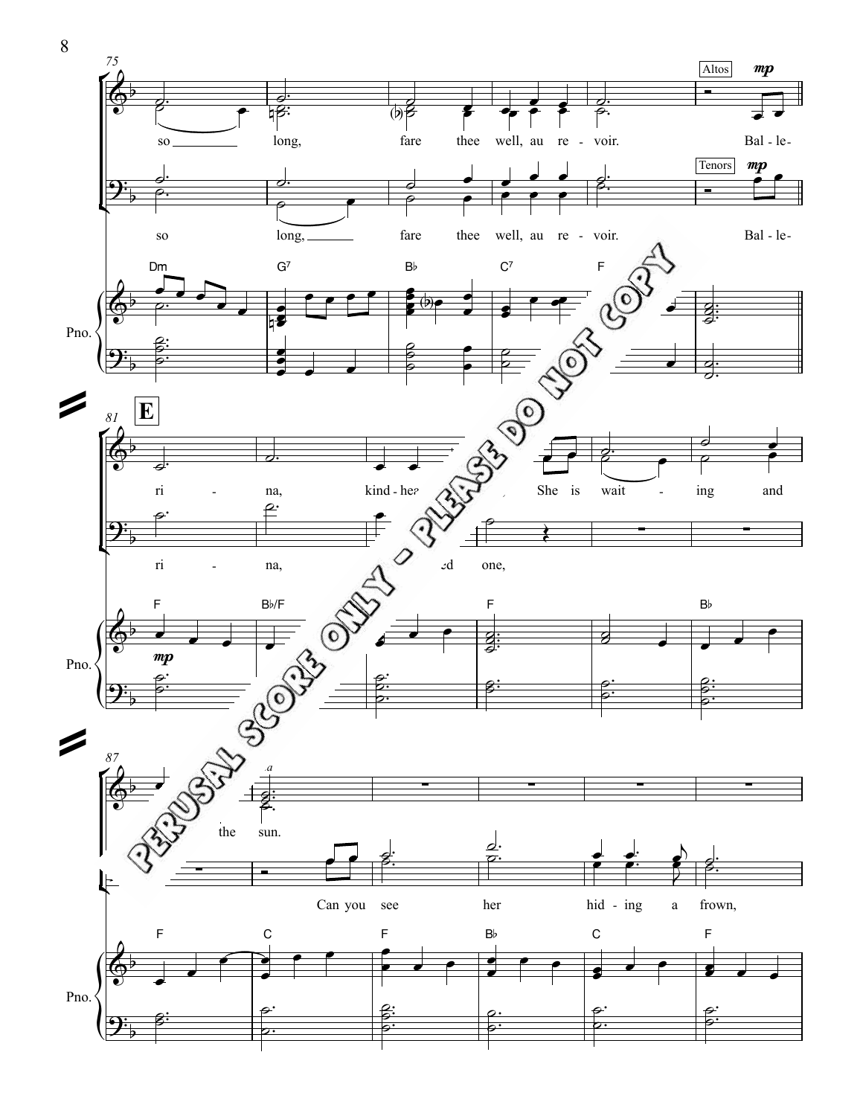

8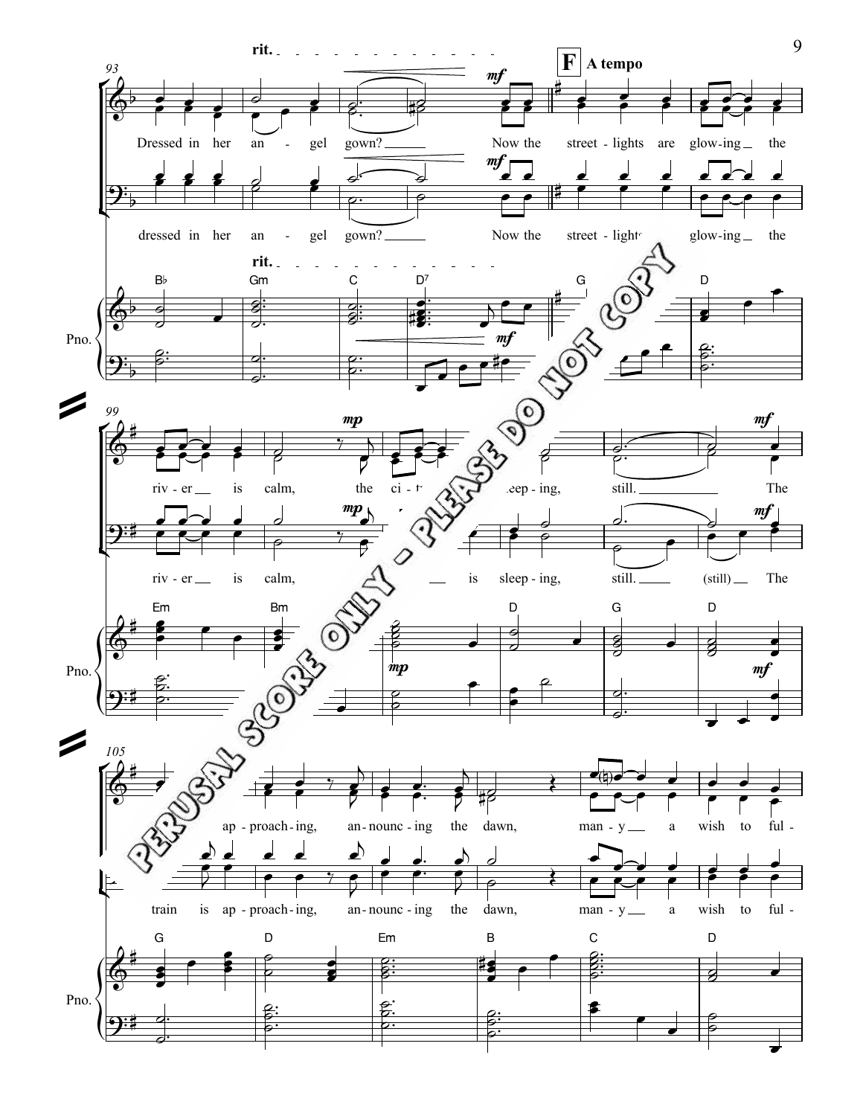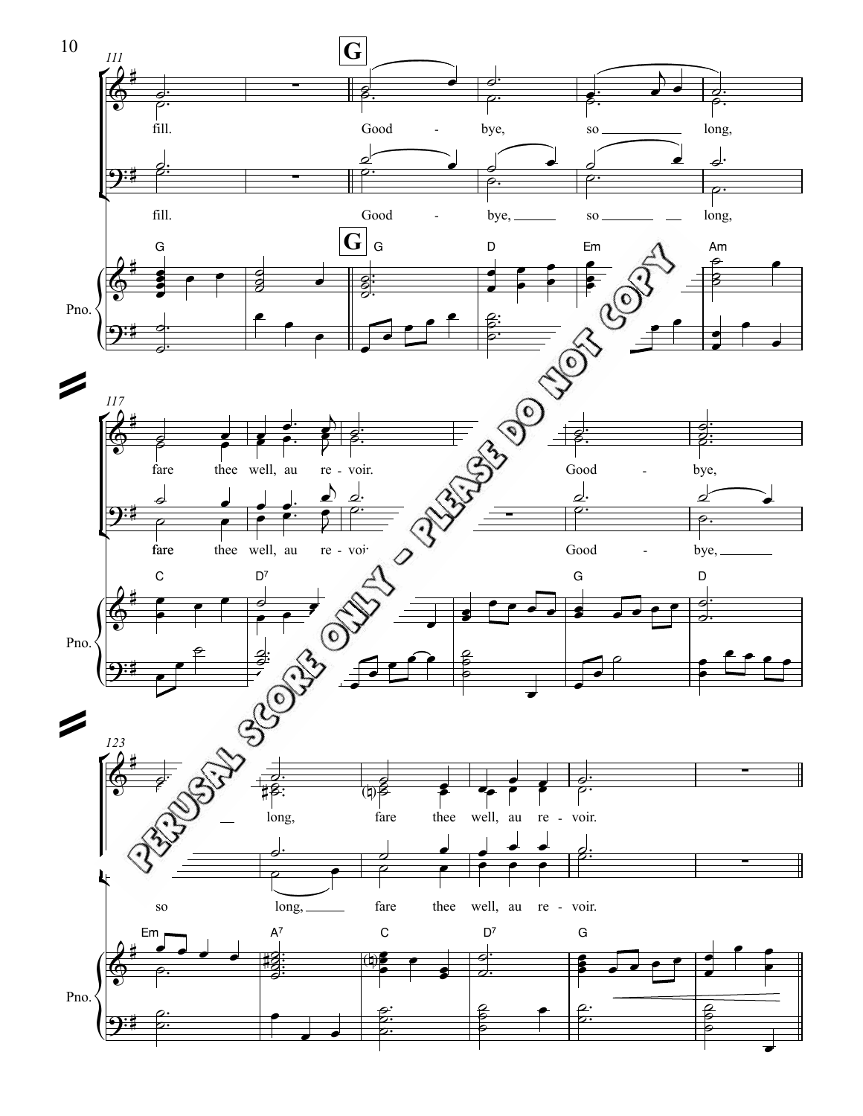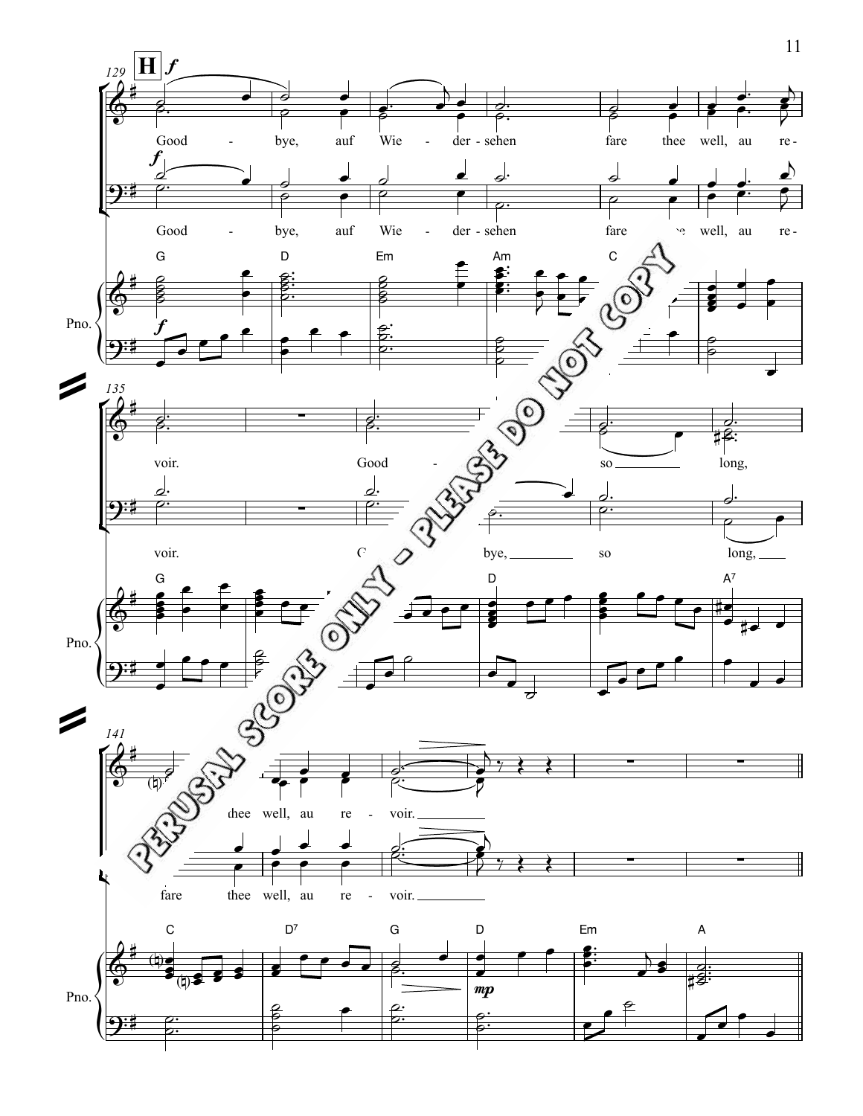